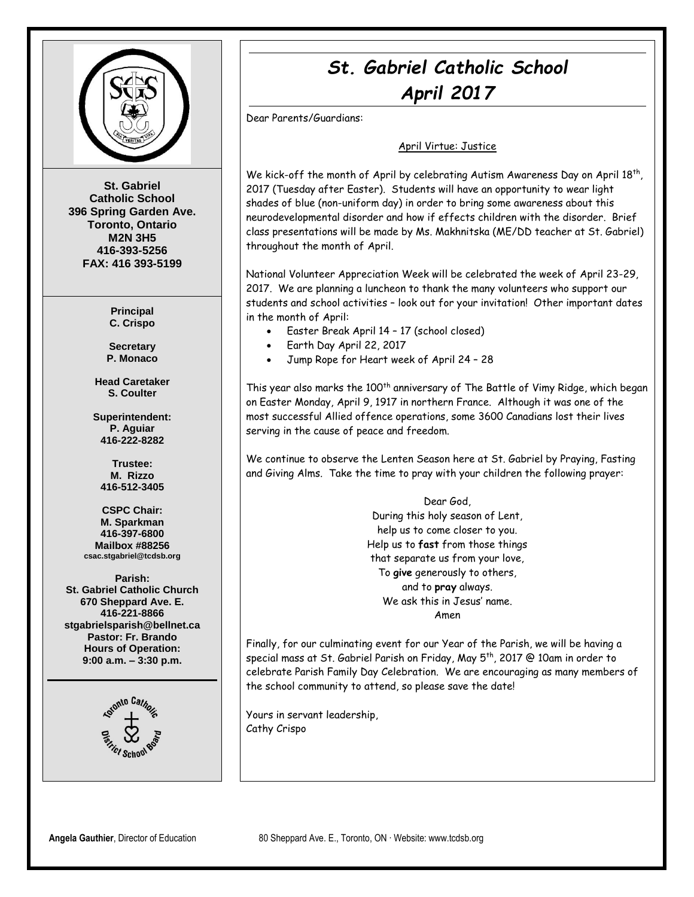

**St. Gabriel Catholic School 396 Spring Garden Ave. Toronto, Ontario M2N 3H5 416-393-5256 FAX: 416 393-5199**

> **Principal C. Crispo**

**Secretary P. Monaco**

**Head Caretaker S. Coulter**

**Superintendent: P. Aguiar 416-222-8282**

**Trustee: M. Rizzo 416-512-3405**

**CSPC Chair: M. Sparkman 416-397-6800 Mailbox #88256 csac.stgabriel@tcdsb.org**

**Parish: St. Gabriel Catholic Church 670 Sheppard Ave. E. 416-221-8866 stgabrielsparish@bellnet.ca Pastor: Fr. Brando Hours of Operation: 9:00 a.m. – 3:30 p.m.**



### *St. Gabriel Catholic School April 2017*

Dear Parents/Guardians:

#### April Virtue: Justice

We kick-off the month of April by celebrating Autism Awareness Day on April 18<sup>th</sup>, 2017 (Tuesday after Easter). Students will have an opportunity to wear light shades of blue (non-uniform day) in order to bring some awareness about this neurodevelopmental disorder and how if effects children with the disorder. Brief class presentations will be made by Ms. Makhnitska (ME/DD teacher at St. Gabriel) throughout the month of April.

National Volunteer Appreciation Week will be celebrated the week of April 23-29, 2017. We are planning a luncheon to thank the many volunteers who support our students and school activities – look out for your invitation! Other important dates in the month of April:

- Easter Break April 14 17 (school closed)
- Earth Day April 22, 2017
- Jump Rope for Heart week of April 24 28

This year also marks the 100<sup>th</sup> anniversary of The Battle of Vimy Ridge, which began on Easter Monday, April 9, 1917 in northern France. Although it was one of the most successful Allied offence operations, some 3600 Canadians lost their lives serving in the cause of peace and freedom.

We continue to observe the Lenten Season here at St. Gabriel by Praying, Fasting and Giving Alms. Take the time to pray with your children the following prayer:

> Dear God, During this holy season of Lent, help us to come closer to you. Help us to **fast** from those things that separate us from your love, To **give** generously to others, and to **pray** always. We ask this in Jesus' name. Amen

Finally, for our culminating event for our Year of the Parish, we will be having a special mass at St. Gabriel Parish on Friday, May 5th, 2017 @ 10am in order to celebrate Parish Family Day Celebration. We are encouraging as many members of the school community to attend, so please save the date!

Yours in servant leadership, Cathy Crispo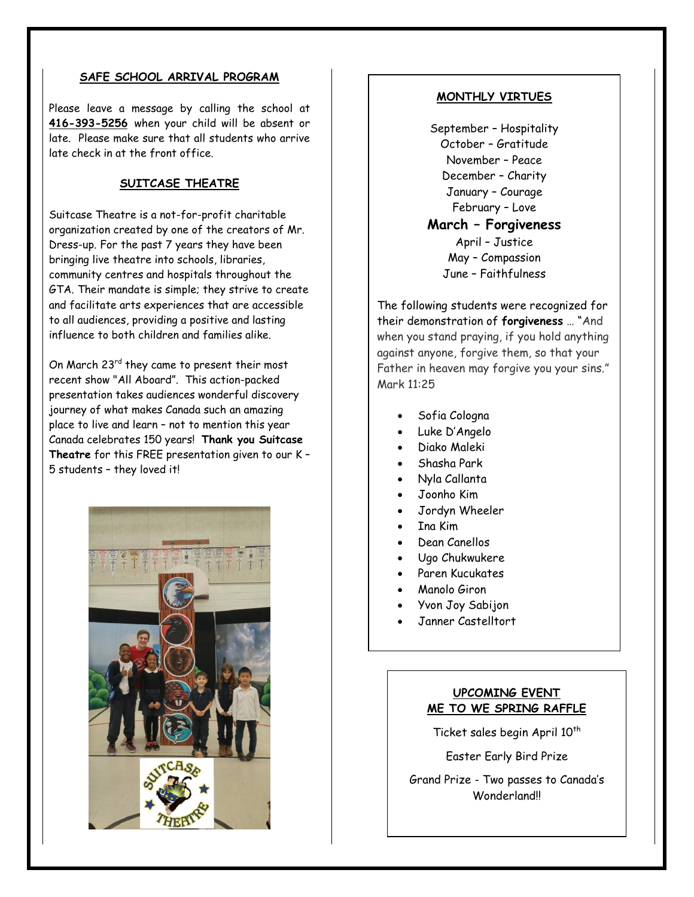#### **SAFE SCHOOL ARRIVAL PROGRAM**

Please leave a message by calling the school at **416-393-5256** when your child will be absent or late. Please make sure that all students who arrive late check in at the front office.

#### **SUITCASE THEATRE**

Suitcase Theatre is a not-for-profit charitable organization created by one of the creators of Mr. Dress-up. For the past 7 years they have been bringing live theatre into schools, libraries, community centres and hospitals throughout the GTA. Their mandate is simple; they strive to create and facilitate arts experiences that are accessible to all audiences, providing a positive and lasting influence to both children and families alike.

On March 23<sup>rd</sup> they came to present their most recent show "All Aboard". This action-packed presentation takes audiences wonderful discovery journey of what makes Canada such an amazing place to live and learn – not to mention this year Canada celebrates 150 years! **Thank you Suitcase Theatre** for this FREE presentation given to our K – 5 students – they loved it!



#### **MONTHLY VIRTUES**

September – Hospitality October – Gratitude November – Peace December – Charity January – Courage February – Love **March – Forgiveness** April – Justice May – Compassion June – Faithfulness

The following students were recognized for their demonstration of **forgiveness** … "And when you stand praying, if you hold anything against anyone, forgive them, so that your Father in heaven may forgive you your sins." Mark 11:25

- Sofia Cologna
- Luke D'Angelo
- Diako Maleki
- Shasha Park
- Nyla Callanta
- Joonho Kim
- Jordyn Wheeler
- Ina Kim
- Dean Canellos
- Ugo Chukwukere
- Paren Kucukates
- Manolo Giron
- Yvon Joy Sabijon
- Janner Castelltort

#### **UPCOMING EVENT ME TO WE SPRING RAFFLE**

Ticket sales begin April 10<sup>th</sup>

Easter Early Bird Prize

Grand Prize - Two passes to Canada's **Wonderland**<sup>II</sup>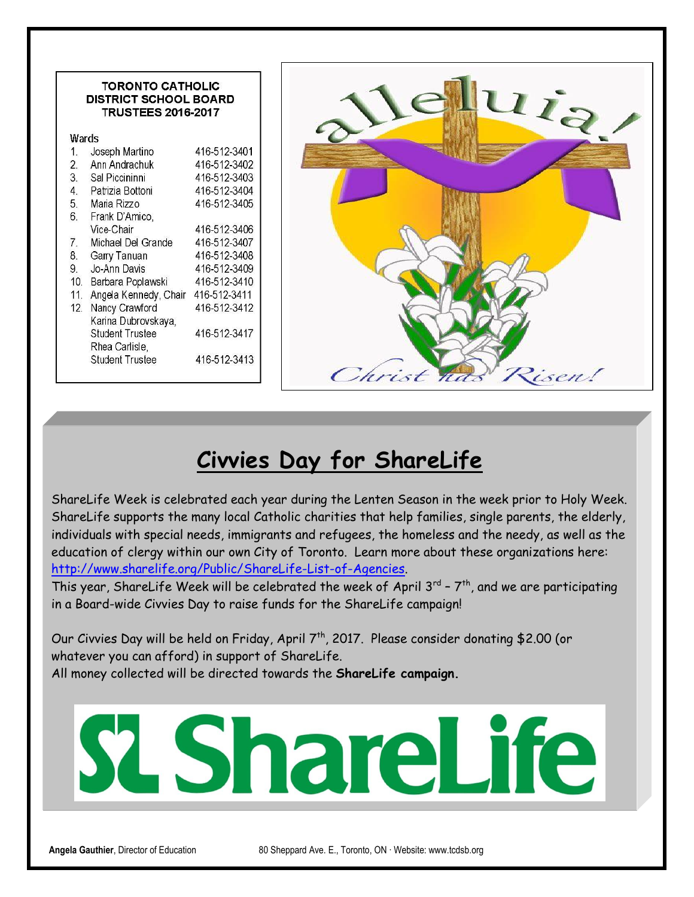| <b>TORONTO CATHOLIC</b><br><b>DISTRICT SCHOOL BOARD</b><br><b>TRUSTEES 2016-2017</b> |                              |
|--------------------------------------------------------------------------------------|------------------------------|
| Wards                                                                                |                              |
| Joseph Martino                                                                       | 416-512-3401                 |
| Ann Andrachuk<br>$\overline{2}$ .                                                    | 416-512-3402                 |
| 3.<br>Sal Piccininni                                                                 | 416-512-3403                 |
| Patrizia Bottoni<br>4.                                                               | 416-512-3404                 |
| 5.<br>Maria Rizzo                                                                    | 416-512-3405                 |
| 6.<br>Frank D'Amico,                                                                 |                              |
| Vice-Chair                                                                           | 416-512-3406                 |
| Michael Del Grande<br>7.                                                             | 416-512-3407                 |
| 8.<br>Garry Tanuan                                                                   | 416-512-3408                 |
| 9.<br>Jo-Ann Davis                                                                   | 416-512-3409                 |
| 10.<br>Barbara Poplawski                                                             | 416-512-3410                 |
| Angela Kennedy, Chair<br>11.                                                         | 416-512-3411                 |
| Nancy Crawford<br>12 <sub>1</sub>                                                    | 416-512-3412                 |
| Karina Dubrovskaya,                                                                  |                              |
| <b>Student Trustee</b>                                                               |                              |
| Rhea Carlisle,                                                                       |                              |
| <b>Student Trustee</b>                                                               |                              |
|                                                                                      | 416-512-3417<br>416-512-3413 |

## **Civvies Day for ShareLife**

ShareLife Week is celebrated each year during the Lenten Season in the week prior to Holy Week. ShareLife supports the many local Catholic charities that help families, single parents, the elderly, individuals with special needs, immigrants and refugees, the homeless and the needy, as well as the education of clergy within our own City of Toronto. Learn more about these organizations here: [http://www.sharelife.org/Public/ShareLife-List-of-Agencies.](http://www.sharelife.org/Public/ShareLife-List-of-Agencies)

This year, ShareLife Week will be celebrated the week of April 3<sup>rd</sup> -  $7<sup>th</sup>$ , and we are participating in a Board-wide Civvies Day to raise funds for the ShareLife campaign!

Our Civvies Day will be held on Friday, April 7<sup>th</sup>, 2017. Please consider donating \$2.00 (or whatever you can afford) in support of ShareLife. All money collected will be directed towards the **ShareLife campaign.** 

# LShareLife

**Angela Gauthier**, Director of Education 80 Sheppard Ave. E., Toronto, ON ∙ Website: www.tcdsb.org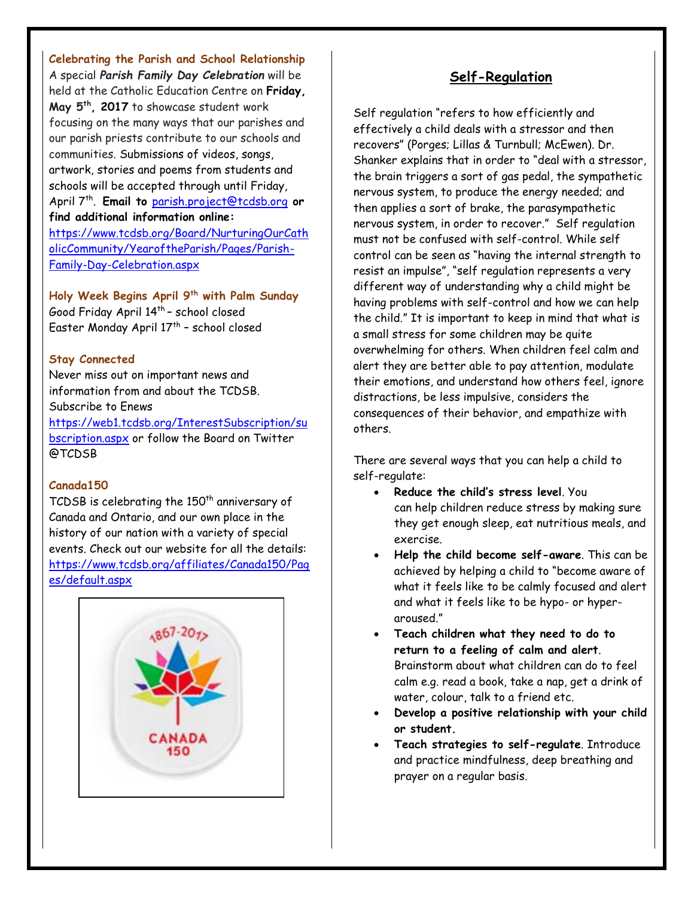**Celebrating the Parish and School Relationship** A special *Parish Family Day Celebration* will be held at the Catholic Education Centre on **Friday, May 5th, 2017** to showcase student work focusing on the many ways that our parishes and our parish priests contribute to our schools and communities. Submissions of videos, songs, artwork, stories and poems from students and schools will be accepted through until Friday, April 7th . **Email to** [parish.project@tcdsb.org](mailto:parish.project@tcdsb.org) **or find additional information online:**  [https://www.tcdsb.org/Board/NurturingOurCath](https://www.tcdsb.org/Board/NurturingOurCatholicCommunity/YearoftheParish/Pages/Parish-Family-Day-Celebration.aspx) [olicCommunity/YearoftheParish/Pages/Parish-](https://www.tcdsb.org/Board/NurturingOurCatholicCommunity/YearoftheParish/Pages/Parish-Family-Day-Celebration.aspx)

[Family-Day-Celebration.aspx](https://www.tcdsb.org/Board/NurturingOurCatholicCommunity/YearoftheParish/Pages/Parish-Family-Day-Celebration.aspx)

**Holy Week Begins April 9th with Palm Sunday** Good Friday April 14<sup>th</sup> – school closed Easter Monday April 17<sup>th</sup> – school closed

#### **Stay Connected**

Never miss out on important news and information from and about the TCDSB. Subscribe to Enews

[https://web1.tcdsb.org/InterestSubscription/su](https://web1.tcdsb.org/InterestSubscription/subscription.aspx) [bscription.aspx](https://web1.tcdsb.org/InterestSubscription/subscription.aspx) or follow the Board on Twitter @TCDSB

#### **Canada150**

TCDSB is celebrating the  $150<sup>th</sup>$  anniversary of Canada and Ontario, and our own place in the history of our nation with a variety of special events. Check out our website for all the details: [https://www.tcdsb.org/affiliates/Canada150/Pag](https://www.tcdsb.org/affiliates/Canada150/Pages/default.aspx) [es/default.aspx](https://www.tcdsb.org/affiliates/Canada150/Pages/default.aspx)



#### **Self-Regulation**

Self regulation "refers to how efficiently and effectively a child deals with a stressor and then recovers" (Porges; Lillas & Turnbull; McEwen). Dr. Shanker explains that in order to "deal with a stressor, the brain triggers a sort of gas pedal, the sympathetic nervous system, to produce the energy needed; and then applies a sort of brake, the parasympathetic nervous system, in order to recover." Self regulation must not be confused with self-control. While self control can be seen as "having the internal strength to resist an impulse", "self regulation represents a very different way of understanding why a child might be having problems with self-control and how we can help the child." It is important to keep in mind that what is a small stress for some children may be quite overwhelming for others. When children feel calm and alert they are better able to pay attention, modulate their emotions, and understand how others feel, ignore distractions, be less impulsive, considers the consequences of their behavior, and empathize with others.

There are several ways that you can help a child to self-regulate:

- **Reduce the child's stress level**. You can help children reduce stress by making sure they get enough sleep, eat nutritious meals, and exercise.
- **Help the child become self-aware**. This can be achieved by helping a child to "become aware of what it feels like to be calmly focused and alert and what it feels like to be hypo- or hyperaroused."
- **Teach children what they need to do to return to a feeling of calm and alert**. Brainstorm about what children can do to feel calm e.g. read a book, take a nap, get a drink of water, colour, talk to a friend etc.
- **Develop a positive relationship with your child or student.**
- **Teach strategies to self-regulate**. Introduce and practice mindfulness, deep breathing and prayer on a regular basis.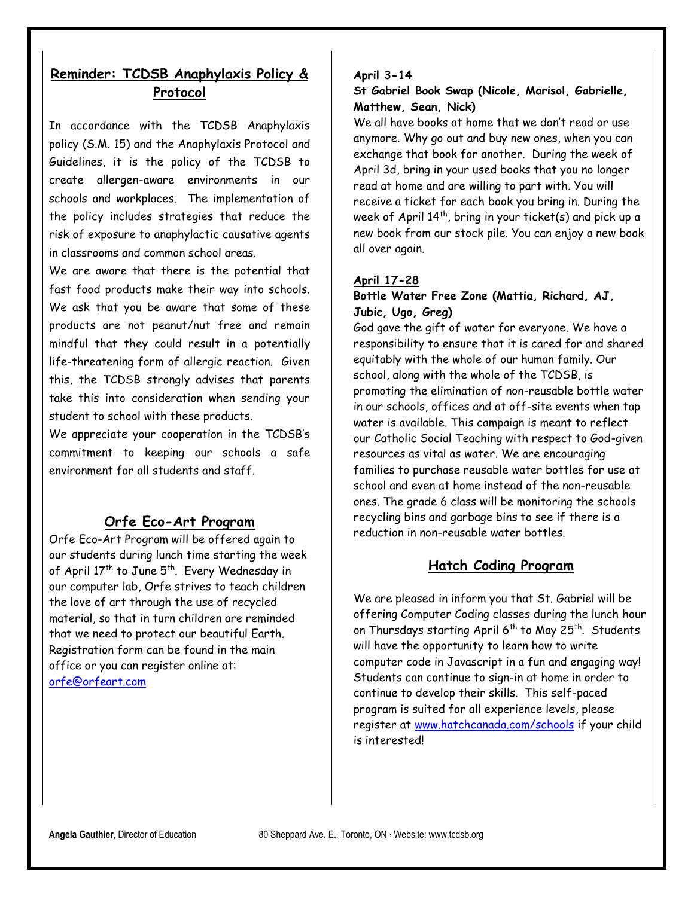#### **Reminder: TCDSB Anaphylaxis Policy & Protocol**

In accordance with the TCDSB Anaphylaxis policy (S.M. 15) and the Anaphylaxis Protocol and Guidelines, it is the policy of the TCDSB to create allergen-aware environments in our schools and workplaces. The implementation of the policy includes strategies that reduce the risk of exposure to anaphylactic causative agents in classrooms and common school areas.

We are aware that there is the potential that fast food products make their way into schools. We ask that you be aware that some of these products are not peanut/nut free and remain mindful that they could result in a potentially life-threatening form of allergic reaction. Given this, the TCDSB strongly advises that parents take this into consideration when sending your student to school with these products.

We appreciate your cooperation in the TCDSB's commitment to keeping our schools a safe environment for all students and staff.

#### **Orfe Eco-Art Program**

Orfe Eco-Art Program will be offered again to our students during lunch time starting the week of April 17<sup>th</sup> to June 5<sup>th</sup>. Every Wednesday in our computer lab, Orfe strives to teach children the love of art through the use of recycled material, so that in turn children are reminded that we need to protect our beautiful Earth. Registration form can be found in the main office or you can register online at: [orfe@orfeart.com](mailto:orfe@orfeart.com)

#### **April 3-14**

#### **St Gabriel Book Swap (Nicole, Marisol, Gabrielle, Matthew, Sean, Nick)**

We all have books at home that we don't read or use anymore. Why go out and buy new ones, when you can exchange that book for another. During the week of April 3d, bring in your used books that you no longer read at home and are willing to part with. You will receive a ticket for each book you bring in. During the week of April  $14<sup>th</sup>$ , bring in your ticket(s) and pick up a new book from our stock pile. You can enjoy a new book all over again.

#### **April 17-28**

#### **Bottle Water Free Zone (Mattia, Richard, AJ, Jubic, Ugo, Greg)**

God gave the gift of water for everyone. We have a responsibility to ensure that it is cared for and shared equitably with the whole of our human family. Our school, along with the whole of the TCDSB, is promoting the elimination of non-reusable bottle water in our schools, offices and at off-site events when tap water is available. This campaign is meant to reflect our Catholic Social Teaching with respect to God-given resources as vital as water. We are encouraging families to purchase reusable water bottles for use at school and even at home instead of the non-reusable ones. The grade 6 class will be monitoring the schools recycling bins and garbage bins to see if there is a reduction in non-reusable water bottles.

#### **Hatch Coding Program**

We are pleased in inform you that St. Gabriel will be offering Computer Coding classes during the lunch hour on Thursdays starting April 6<sup>th</sup> to May 25<sup>th</sup>. Students will have the opportunity to learn how to write computer code in Javascript in a fun and engaging way! Students can continue to sign-in at home in order to continue to develop their skills. This self-paced program is suited for all experience levels, please register at [www.hatchcanada.com/schools](http://www.hatchcanada.com/schools) if your child is interested!